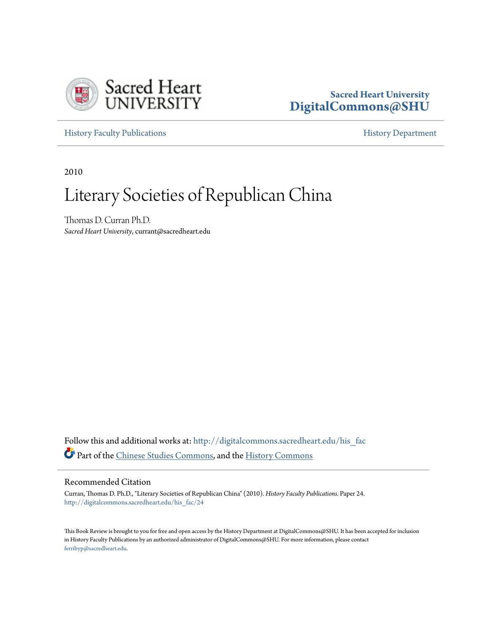

## **Sacred Heart University [DigitalCommons@SHU](http://digitalcommons.sacredheart.edu?utm_source=digitalcommons.sacredheart.edu%2Fhis_fac%2F24&utm_medium=PDF&utm_campaign=PDFCoverPages)**

[History Faculty Publications](http://digitalcommons.sacredheart.edu/his_fac?utm_source=digitalcommons.sacredheart.edu%2Fhis_fac%2F24&utm_medium=PDF&utm_campaign=PDFCoverPages) **[History Department](http://digitalcommons.sacredheart.edu/hist?utm_source=digitalcommons.sacredheart.edu%2Fhis_fac%2F24&utm_medium=PDF&utm_campaign=PDFCoverPages)** 

2010

## Literary Societies of Republican China

Thomas D. Curran Ph.D. *Sacred Heart University*, currant@sacredheart.edu

Follow this and additional works at: [http://digitalcommons.sacredheart.edu/his\\_fac](http://digitalcommons.sacredheart.edu/his_fac?utm_source=digitalcommons.sacredheart.edu%2Fhis_fac%2F24&utm_medium=PDF&utm_campaign=PDFCoverPages) Part of the [Chinese Studies Commons](http://network.bepress.com/hgg/discipline/1081?utm_source=digitalcommons.sacredheart.edu%2Fhis_fac%2F24&utm_medium=PDF&utm_campaign=PDFCoverPages), and the [History Commons](http://network.bepress.com/hgg/discipline/489?utm_source=digitalcommons.sacredheart.edu%2Fhis_fac%2F24&utm_medium=PDF&utm_campaign=PDFCoverPages)

## Recommended Citation

Curran, Thomas D. Ph.D., "Literary Societies of Republican China" (2010). *History Faculty Publications.* Paper 24. [http://digitalcommons.sacredheart.edu/his\\_fac/24](http://digitalcommons.sacredheart.edu/his_fac/24?utm_source=digitalcommons.sacredheart.edu%2Fhis_fac%2F24&utm_medium=PDF&utm_campaign=PDFCoverPages)

This Book Review is brought to you for free and open access by the History Department at DigitalCommons@SHU. It has been accepted for inclusion in History Faculty Publications by an authorized administrator of DigitalCommons@SHU. For more information, please contact [ferribyp@sacredheart.edu](mailto:ferribyp@sacredheart.edu).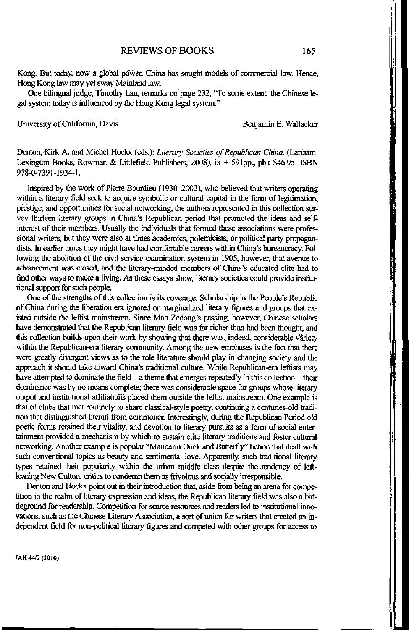REVIEWS OF BOOKS 165

Kong. But today, now a global power, China has sought models of commercial law. Hence, Hong Kong law may yet sway Mainland law.

One bilingual judge, Timothy Lau, remarks on page 232, 'To some extent, the Chinese legal system today is influenced by the Hong Kong legal system."

University of California, Davis **Benjamin E. Wallacker** Benjamin E. Wallacker

Denton,-Kirk A. and Michel Hockx (eds.): *Literary Societies of Republican China*. (Lanham: Lexington Books, Rowman & Littlefield Publishers, 2008), ix + 591pp., pbk \$46.95. ISBN 978-0-7391-1934-1.

Inspired by the work of Pierre Bourdieu (1930-2002), who believed that writers operating within a literary field seek to acquire symbolic or cultural capital in the form of legitimation, prestige, and opportunities for social networking, the authors represented in this collection survey thirteen literary groups in China's Republican period that promoted the ideas and selfinterest of their members. Usually the individuals that formed these associations were professional writers, but they were also at times academics, polemicists, or political party propagandists. In earlier times they might have had comfortable careers within China's bureaucracy. Following the abolition of the civil service examination system in 1905, however, that avenue to advancement was closed, and the literary-minded members of China's educated elite had to find other ways to make a living. As these essays show, literary societies could provide institutional support for such people.

One of the strengths of this collection is its coverage. Scholarship in the People's Republic of China during the liberation era ignored or marginalized literary figures and groups that existed outside the leftist mainstream. Since Mao Zedong's passing, however, Chinese scholars have demonstrated that the Republican literary field was far richer than had been thought, and this collection builds upon their work by showing that there was, indeed, considerable variety within the Republican-era literary community. Among the new emphases is the fact that there were greatly divergent views as to the role literature should play in changing society and the approach it should take toward China's traditional culture. While Republican-era leftists may have attempted to dominate the field - a theme that emerges repeatedly in this collection—their dominance was by no means complete; there was considerable space for groups whose literary output and institutional affiliations placed them outside the leftist mainstream. One example is that of clubs that met routinely to share classical-style poetry, continuing a centuries-old tradition that distinguished literati from commoner. Interestingly, during the Republican Period old poetic forms retained their vitality, and devotion to literary pursuits as a form of social entertainment provided a mechanism by which to sustain elite literary traditions and foster cultural networking. Another example is popular "Mandarin Duck and Butterfly" fiction that dealt with such conventional topics as beauty and sentimental love. Apparently, such traditional literary types retained their popularity within the urban middle class despite the tendency of leftleaning New Culture critics to condemn them as frivolous and socially irresponsible.

Denton and Hockx point out in their introduction that, aside from being an arena for competition in the realm of literary expression and ideas, the Republican literary field was also a battleground for readership. Competition for scarce resources and readers led to institutional innovations, such as the Chinese Literary Association, a sort of union for writers that created an independent field for non-political literary figures and competed with other groups for access to